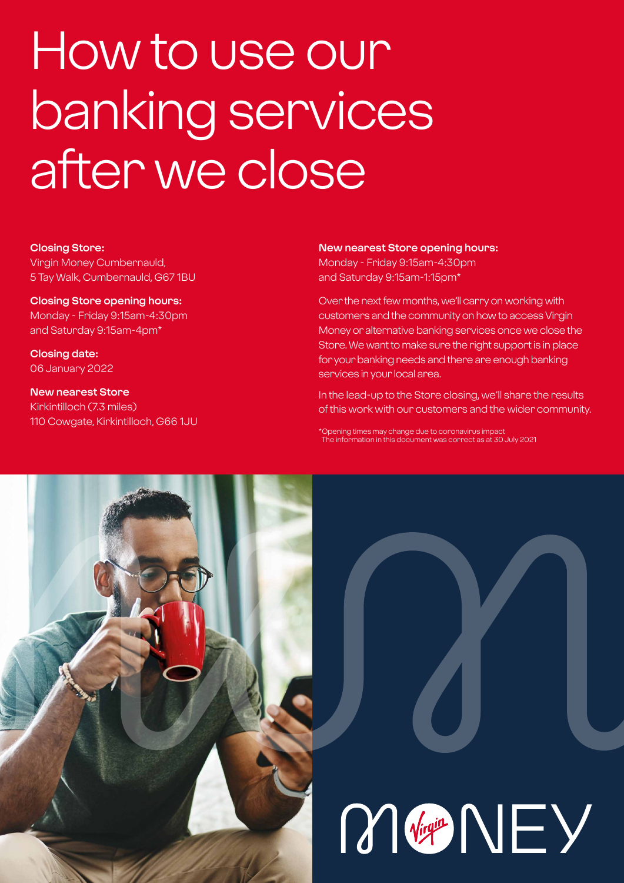# How to use our banking services after we close

#### **Closing Store:**

Virgin Money Cumbernauld, 5 Tay Walk, Cumbernauld, G67 1BU

**Closing Store opening hours:**  Monday - Friday 9:15am-4:30pm and Saturday 9:15am-4pm\*

**Closing date:**  06 January 2022

**New nearest Store** Kirkintilloch (7.3 miles) 110 Cowgate, Kirkintilloch, G66 1JU

#### **New nearest Store opening hours:**

Monday - Friday 9:15am-4:30pm and Saturday 9:15am-1:15pm\*

Over the next few months, we'll carry on working with customers and the community on how to access Virgin Money or alternative banking services once we close the Store. We want to make sure the right support is in place for your banking needs and there are enough banking services in your local area.

In the lead-up to the Store closing, we'll share the results of this work with our customers and the wider community.

\*Opening times may change due to coronavirus impact The information in this document was correct as at 30 July 2021

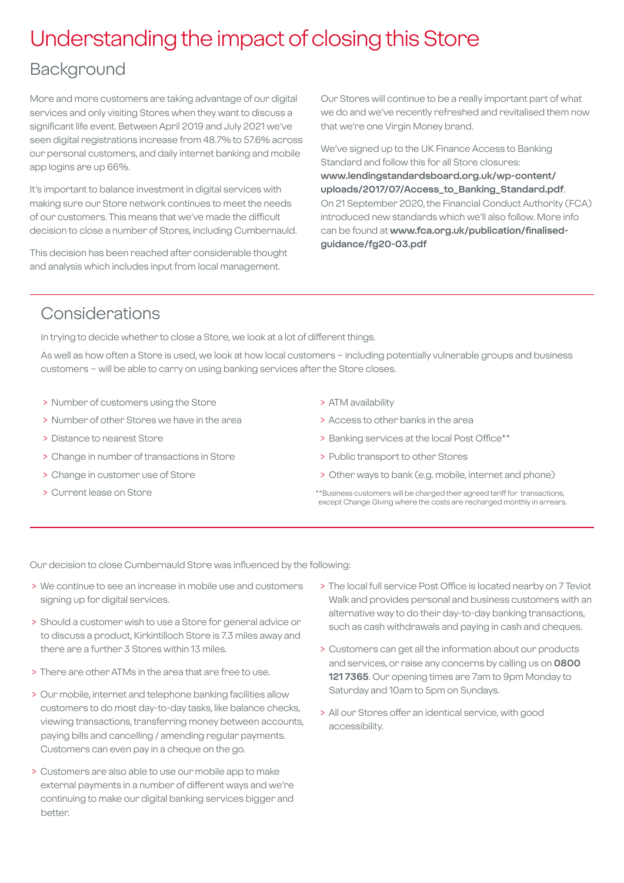## Understanding the impact of closing this Store

### Background

More and more customers are taking advantage of our digital services and only visiting Stores when they want to discuss a significant life event. Between April 2019 and July 2021 we've seen digital registrations increase from 48.7% to 57.6% across our personal customers, and daily internet banking and mobile app logins are up 66%.

It's important to balance investment in digital services with making sure our Store network continues to meet the needs of our customers. This means that we've made the difficult decision to close a number of Stores, including Cumbernauld.

This decision has been reached after considerable thought and analysis which includes input from local management.

Our Stores will continue to be a really important part of what we do and we've recently refreshed and revitalised them now that we're one Virgin Money brand.

We've signed up to the UK Finance Access to Banking Standard and follow this for all Store closures: **[www.lendingstandardsboard.org.uk/wp-content/](http://www.lendingstandardsboard.org.uk/wp-content/uploads/2017/07/Access_to_Banking_Standard.pdf) [uploads/2017/07/Access\\_to\\_Banking\\_Standard.pdf](http://www.lendingstandardsboard.org.uk/wp-content/uploads/2017/07/Access_to_Banking_Standard.pdf)**. On 21 September 2020, the Financial Conduct Authority (FCA) introduced new standards which we'll also follow. More info can be found at **[www.fca.org.uk/publication/finalised](http://www.fca.org.uk/publication/finalised-guidance/fg20-03.pdf)[guidance/fg20-03.pdf](http://www.fca.org.uk/publication/finalised-guidance/fg20-03.pdf)**

## Considerations

In trying to decide whether to close a Store, we look at a lot of different things.

As well as how often a Store is used, we look at how local customers – including potentially vulnerable groups and business customers – will be able to carry on using banking services after the Store closes.

- > Number of customers using the Store
- > Number of other Stores we have in the area
- > Distance to nearest Store
- > Change in number of transactions in Store
- > Change in customer use of Store
- > Current lease on Store
- > ATM availability
- > Access to other banks in the area
- > Banking services at the local Post Office\*\*
- > Public transport to other Stores
- > Other ways to bank (e.g. mobile, internet and phone)
- \*\*Business customers will be charged their agreed tariff for transactions, except Change Giving where the costs are recharged monthly in arrears.

Our decision to close Cumbernauld Store was influenced by the following:

- > We continue to see an increase in mobile use and customers signing up for digital services.
- > Should a customer wish to use a Store for general advice or to discuss a product, Kirkintilloch Store is 7.3 miles away and there are a further 3 Stores within 13 miles.
- > There are other ATMs in the area that are free to use.
- > Our mobile, internet and telephone banking facilities allow customers to do most day-to-day tasks, like balance checks, viewing transactions, transferring money between accounts, paying bills and cancelling / amending regular payments. Customers can even pay in a cheque on the go.
- > Customers are also able to use our mobile app to make external payments in a number of different ways and we're continuing to make our digital banking services bigger and better.
- > The local full service Post Office is located nearby on 7 Teviot Walk and provides personal and business customers with an alternative way to do their day-to-day banking transactions, such as cash withdrawals and paying in cash and cheques.
- > Customers can get all the information about our products and services, or raise any concerns by calling us on **0800 121 7365**. Our opening times are 7am to 9pm Monday to Saturday and 10am to 5pm on Sundays.
- > All our Stores offer an identical service, with good accessibility.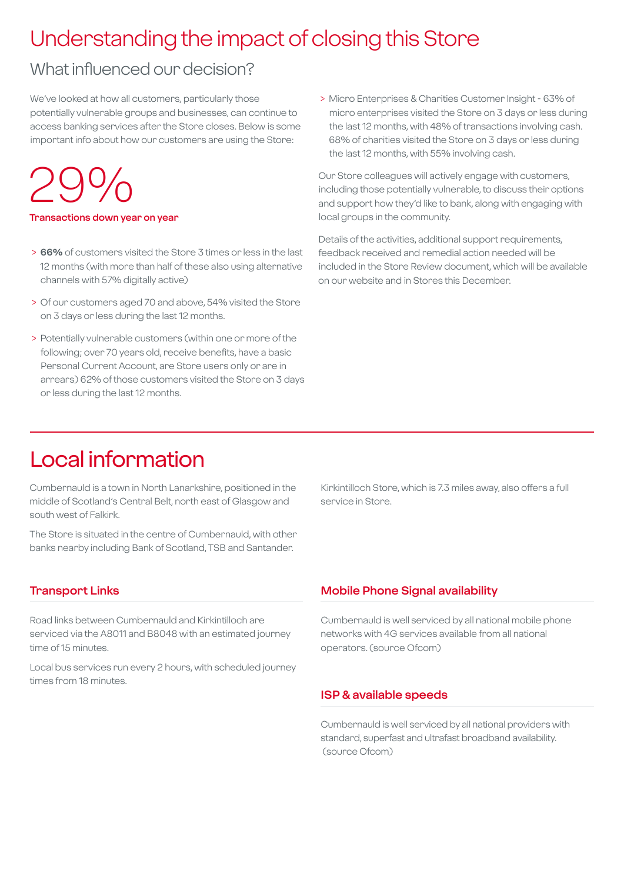## Understanding the impact of closing this Store

## What influenced our decision?

We've looked at how all customers, particularly those potentially vulnerable groups and businesses, can continue to access banking services after the Store closes. Below is some important info about how our customers are using the Store:

## 29%

#### **Transactions down year on year**

- > **66%** of customers visited the Store 3 times or less in the last 12 months (with more than half of these also using alternative channels with 57% digitally active)
- > Of our customers aged 70 and above, 54% visited the Store on 3 days or less during the last 12 months.
- > Potentially vulnerable customers (within one or more of the following; over 70 years old, receive benefits, have a basic Personal Current Account, are Store users only or are in arrears) 62% of those customers visited the Store on 3 days or less during the last 12 months.

 > Micro Enterprises & Charities Customer Insight - 63% of micro enterprises visited the Store on 3 days or less during the last 12 months, with 48% of transactions involving cash. 68% of charities visited the Store on 3 days or less during the last 12 months, with 55% involving cash.

Our Store colleagues will actively engage with customers, including those potentially vulnerable, to discuss their options and support how they'd like to bank, along with engaging with local groups in the community.

Details of the activities, additional support requirements, feedback received and remedial action needed will be included in the Store Review document, which will be available on our website and in Stores this December.

## Local information

Cumbernauld is a town in North Lanarkshire, positioned in the middle of Scotland's Central Belt, north east of Glasgow and south west of Falkirk.

The Store is situated in the centre of Cumbernauld, with other banks nearby including Bank of Scotland, TSB and Santander.

#### **Transport Links**

Road links between Cumbernauld and Kirkintilloch are serviced via the A8011 and B8048 with an estimated journey time of 15 minutes.

Local bus services run every 2 hours, with scheduled journey times from 18 minutes.

Kirkintilloch Store, which is 7.3 miles away, also offers a full service in Store.

#### **Mobile Phone Signal availability**

Cumbernauld is well serviced by all national mobile phone networks with 4G services available from all national operators. (source Ofcom)

#### **ISP & available speeds**

Cumbernauld is well serviced by all national providers with standard, superfast and ultrafast broadband availability. (source Ofcom)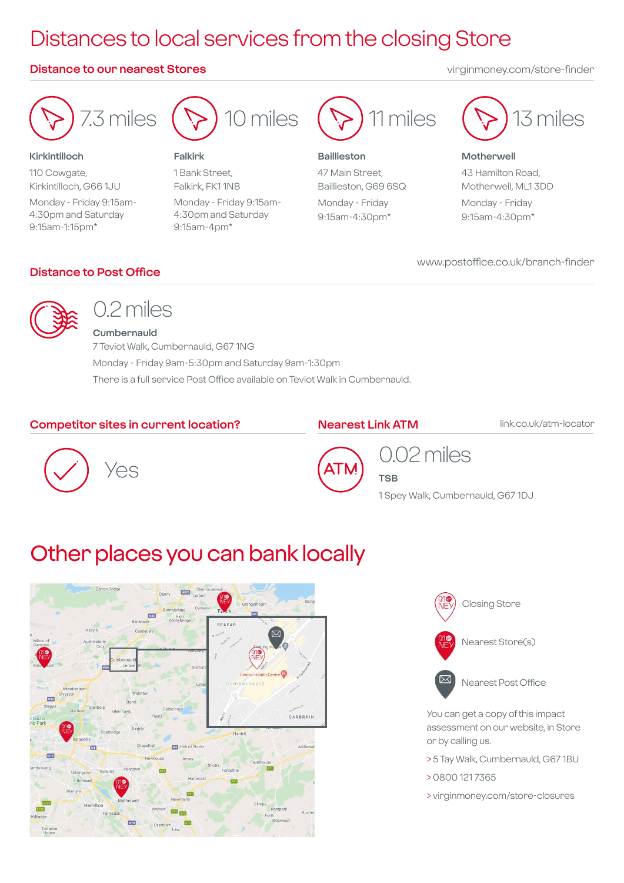## Distances to local services from the closing Store

#### **Distance to our nearest Stores** virginmoney.com/store-finder

7.3 miles

#### **Kirkintilloch**

110 Cowgate, Kirkintilloch, G66 1JU Monday - Friday 9:15am-4:30pm and Saturday 9:15am-1:15pm\*



#### **Falkirk**

1 Bank Street, Falkirk, FK1 1NB Monday - Friday 9:15am-4:30pm and Saturday 9:15am-4pm\*



#### **Baillieston** 47 Main Street, Baillieston, G69 6SQ

Monday - Friday 9:15am-4:30pm\*



**Motherwell** 43 Hamilton Road, Motherwell, ML1 3DD Monday - Friday 9:15am-4:30pm\*

www.postoffice.co.uk/branch-finder

**Distance to Post Office**



## 0.2 miles

**Cumbernauld** 7 Teviot Walk, Cumbernauld, G67 1NG Monday - Friday 9am-5:30pm and Saturday 9am-1:30pm There is a full service Post Office available on Teviot Walk in Cumbernauld.

#### **Competitor sites in current location?**

#### **Nearest Link ATM link.co.uk/atm-locator**

**TSB**





## 0.02 miles

1 Spey Walk, Cumbernauld, G67 1DJ

## Other places you can bank locally





You can get a copy of this impact assessment on our website, in Store or by calling us.

- > 5 Tay Walk, Cumbernauld, G67 1BU
- > 0800 121 7365
- > virginmoney.com/store-closures